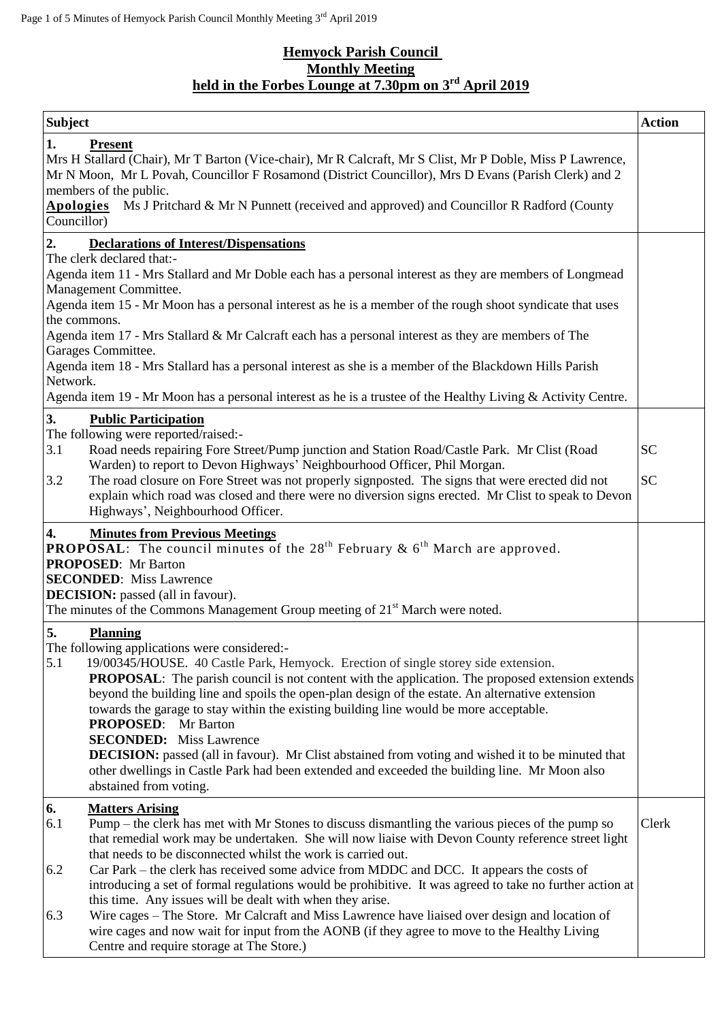## **Hemyock Parish Council Monthly Meeting held in the Forbes Lounge at 7.30pm on 3 rd April 2019**

| <b>Subject</b>                                                                                                                                                                                                                                                                                                                                                                                                                                                                                                                                                                                                                                                                                                                                                                                                                                   | <b>Action</b>          |
|--------------------------------------------------------------------------------------------------------------------------------------------------------------------------------------------------------------------------------------------------------------------------------------------------------------------------------------------------------------------------------------------------------------------------------------------------------------------------------------------------------------------------------------------------------------------------------------------------------------------------------------------------------------------------------------------------------------------------------------------------------------------------------------------------------------------------------------------------|------------------------|
| 1.<br><b>Present</b><br>Mrs H Stallard (Chair), Mr T Barton (Vice-chair), Mr R Calcraft, Mr S Clist, Mr P Doble, Miss P Lawrence,<br>Mr N Moon, Mr L Povah, Councillor F Rosamond (District Councillor), Mrs D Evans (Parish Clerk) and 2<br>members of the public.<br>Apologies Ms J Pritchard & Mr N Punnett (received and approved) and Councillor R Radford (County<br>Councillor)                                                                                                                                                                                                                                                                                                                                                                                                                                                           |                        |
| 2.<br><b>Declarations of Interest/Dispensations</b><br>The clerk declared that:-<br>Agenda item 11 - Mrs Stallard and Mr Doble each has a personal interest as they are members of Longmead<br>Management Committee.<br>Agenda item 15 - Mr Moon has a personal interest as he is a member of the rough shoot syndicate that uses<br>the commons.<br>Agenda item 17 - Mrs Stallard & Mr Calcraft each has a personal interest as they are members of The<br>Garages Committee.<br>Agenda item 18 - Mrs Stallard has a personal interest as she is a member of the Blackdown Hills Parish<br>Network.<br>Agenda item 19 - Mr Moon has a personal interest as he is a trustee of the Healthy Living & Activity Centre.                                                                                                                             |                        |
| 3.<br><b>Public Participation</b><br>The following were reported/raised:-<br>3.1<br>Road needs repairing Fore Street/Pump junction and Station Road/Castle Park. Mr Clist (Road<br>Warden) to report to Devon Highways' Neighbourhood Officer, Phil Morgan.<br>3.2<br>The road closure on Fore Street was not properly signposted. The signs that were erected did not<br>explain which road was closed and there were no diversion signs erected. Mr Clist to speak to Devon<br>Highways', Neighbourhood Officer.                                                                                                                                                                                                                                                                                                                               | <b>SC</b><br><b>SC</b> |
| 4.<br><b>Minutes from Previous Meetings</b><br><b>PROPOSAL:</b> The council minutes of the $28th$ February & $6th$ March are approved.<br><b>PROPOSED:</b> Mr Barton<br><b>SECONDED:</b> Miss Lawrence<br><b>DECISION:</b> passed (all in favour).<br>The minutes of the Commons Management Group meeting of 21 <sup>st</sup> March were noted.                                                                                                                                                                                                                                                                                                                                                                                                                                                                                                  |                        |
| 5.<br><b>Planning</b><br>The following applications were considered:-<br>5.1<br>19/00345/HOUSE. 40 Castle Park, Hemyock. Erection of single storey side extension.<br>PROPOSAL: The parish council is not content with the application. The proposed extension extends<br>beyond the building line and spoils the open-plan design of the estate. An alternative extension<br>towards the garage to stay within the existing building line would be more acceptable.<br><b>PROPOSED:</b> Mr Barton<br><b>SECONDED:</b> Miss Lawrence<br><b>DECISION:</b> passed (all in favour). Mr Clist abstained from voting and wished it to be minuted that<br>other dwellings in Castle Park had been extended and exceeded the building line. Mr Moon also<br>abstained from voting.                                                                      |                        |
| 6.<br><b>Matters Arising</b><br>6.1<br>Pump – the clerk has met with Mr Stones to discuss dismantling the various pieces of the pump so<br>that remedial work may be undertaken. She will now liaise with Devon County reference street light<br>that needs to be disconnected whilst the work is carried out.<br>6.2<br>Car Park – the clerk has received some advice from MDDC and DCC. It appears the costs of<br>introducing a set of formal regulations would be prohibitive. It was agreed to take no further action at<br>this time. Any issues will be dealt with when they arise.<br>Wire cages - The Store. Mr Calcraft and Miss Lawrence have liaised over design and location of<br>6.3<br>wire cages and now wait for input from the AONB (if they agree to move to the Healthy Living<br>Centre and require storage at The Store.) | Clerk                  |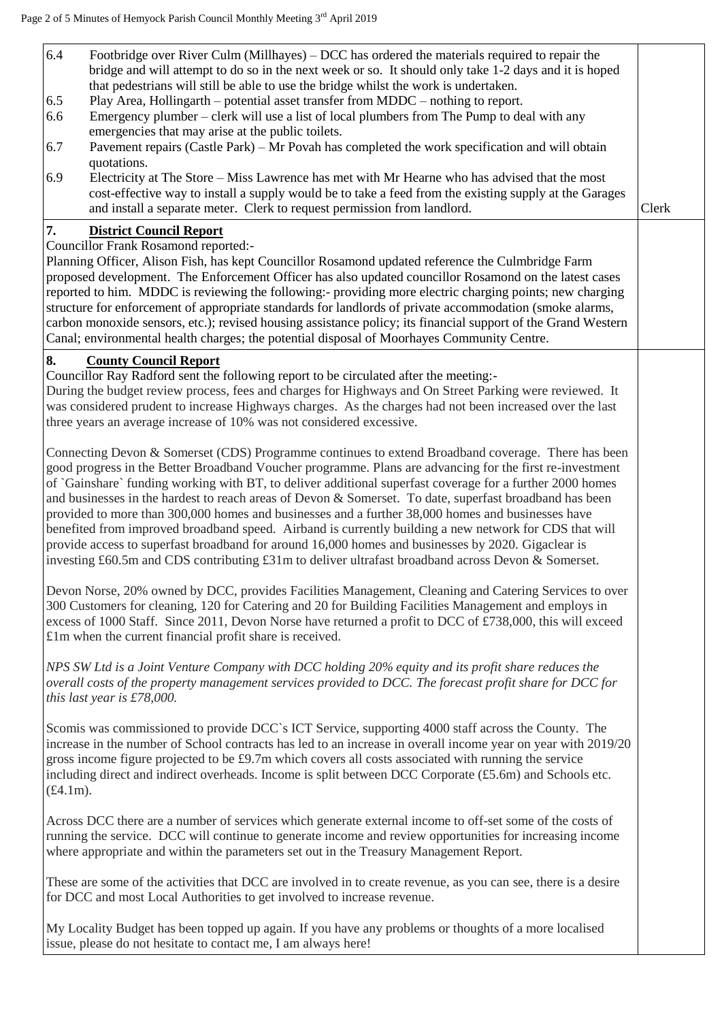| 6.4<br>Footbridge over River Culm (Millhayes) $-$ DCC has ordered the materials required to repair the<br>bridge and will attempt to do so in the next week or so. It should only take 1-2 days and it is hoped<br>that pedestrians will still be able to use the bridge whilst the work is undertaken.<br>Play Area, Hollingarth – potential asset transfer from MDDC – nothing to report.<br>6.5<br>6.6<br>Emergency plumber – clerk will use a list of local plumbers from The Pump to deal with any<br>emergencies that may arise at the public toilets.<br>Pavement repairs (Castle Park) – Mr Povah has completed the work specification and will obtain<br>6.7<br>quotations.<br>6.9<br>Electricity at The Store - Miss Lawrence has met with Mr Hearne who has advised that the most<br>cost-effective way to install a supply would be to take a feed from the existing supply at the Garages<br>and install a separate meter. Clerk to request permission from landlord. | Clerk |
|------------------------------------------------------------------------------------------------------------------------------------------------------------------------------------------------------------------------------------------------------------------------------------------------------------------------------------------------------------------------------------------------------------------------------------------------------------------------------------------------------------------------------------------------------------------------------------------------------------------------------------------------------------------------------------------------------------------------------------------------------------------------------------------------------------------------------------------------------------------------------------------------------------------------------------------------------------------------------------|-------|
| 7.<br><b>District Council Report</b><br><b>Councillor Frank Rosamond reported:-</b><br>Planning Officer, Alison Fish, has kept Councillor Rosamond updated reference the Culmbridge Farm<br>proposed development. The Enforcement Officer has also updated councillor Rosamond on the latest cases<br>reported to him. MDDC is reviewing the following:- providing more electric charging points; new charging<br>structure for enforcement of appropriate standards for landlords of private accommodation (smoke alarms,<br>carbon monoxide sensors, etc.); revised housing assistance policy; its financial support of the Grand Western<br>Canal; environmental health charges; the potential disposal of Moorhayes Community Centre.                                                                                                                                                                                                                                          |       |
| 8.<br><b>County Council Report</b><br>Councillor Ray Radford sent the following report to be circulated after the meeting:-<br>During the budget review process, fees and charges for Highways and On Street Parking were reviewed. It<br>was considered prudent to increase Highways charges. As the charges had not been increased over the last<br>three years an average increase of 10% was not considered excessive.                                                                                                                                                                                                                                                                                                                                                                                                                                                                                                                                                         |       |
| Connecting Devon & Somerset (CDS) Programme continues to extend Broadband coverage. There has been<br>good progress in the Better Broadband Voucher programme. Plans are advancing for the first re-investment<br>of 'Gainshare' funding working with BT, to deliver additional superfast coverage for a further 2000 homes<br>and businesses in the hardest to reach areas of Devon & Somerset. To date, superfast broadband has been<br>provided to more than 300,000 homes and businesses and a further 38,000 homes and businesses have<br>benefited from improved broadband speed. Airband is currently building a new network for CDS that will<br>provide access to superfast broadband for around 16,000 homes and businesses by 2020. Gigaclear is<br>investing £60.5m and CDS contributing $£31m$ to deliver ultrafast broadband across Devon & Somerset.                                                                                                                |       |
| Devon Norse, 20% owned by DCC, provides Facilities Management, Cleaning and Catering Services to over<br>300 Customers for cleaning, 120 for Catering and 20 for Building Facilities Management and employs in<br>excess of 1000 Staff. Since 2011, Devon Norse have returned a profit to DCC of £738,000, this will exceed<br>£1m when the current financial profit share is received.                                                                                                                                                                                                                                                                                                                                                                                                                                                                                                                                                                                            |       |
| NPS SW Ltd is a Joint Venture Company with DCC holding 20% equity and its profit share reduces the<br>overall costs of the property management services provided to DCC. The forecast profit share for DCC for<br>this last year is $£78,000$ .                                                                                                                                                                                                                                                                                                                                                                                                                                                                                                                                                                                                                                                                                                                                    |       |
| Scomis was commissioned to provide DCC's ICT Service, supporting 4000 staff across the County. The<br>increase in the number of School contracts has led to an increase in overall income year on year with 2019/20<br>gross income figure projected to be $\text{\pounds}9.7\text{m}$ which covers all costs associated with running the service<br>including direct and indirect overheads. Income is split between DCC Corporate (£5.6m) and Schools etc.<br>$(f4.1m)$ .                                                                                                                                                                                                                                                                                                                                                                                                                                                                                                        |       |
| Across DCC there are a number of services which generate external income to off-set some of the costs of<br>running the service. DCC will continue to generate income and review opportunities for increasing income<br>where appropriate and within the parameters set out in the Treasury Management Report.                                                                                                                                                                                                                                                                                                                                                                                                                                                                                                                                                                                                                                                                     |       |
| These are some of the activities that DCC are involved in to create revenue, as you can see, there is a desire<br>for DCC and most Local Authorities to get involved to increase revenue.                                                                                                                                                                                                                                                                                                                                                                                                                                                                                                                                                                                                                                                                                                                                                                                          |       |
| My Locality Budget has been topped up again. If you have any problems or thoughts of a more localised<br>issue, please do not hesitate to contact me, I am always here!                                                                                                                                                                                                                                                                                                                                                                                                                                                                                                                                                                                                                                                                                                                                                                                                            |       |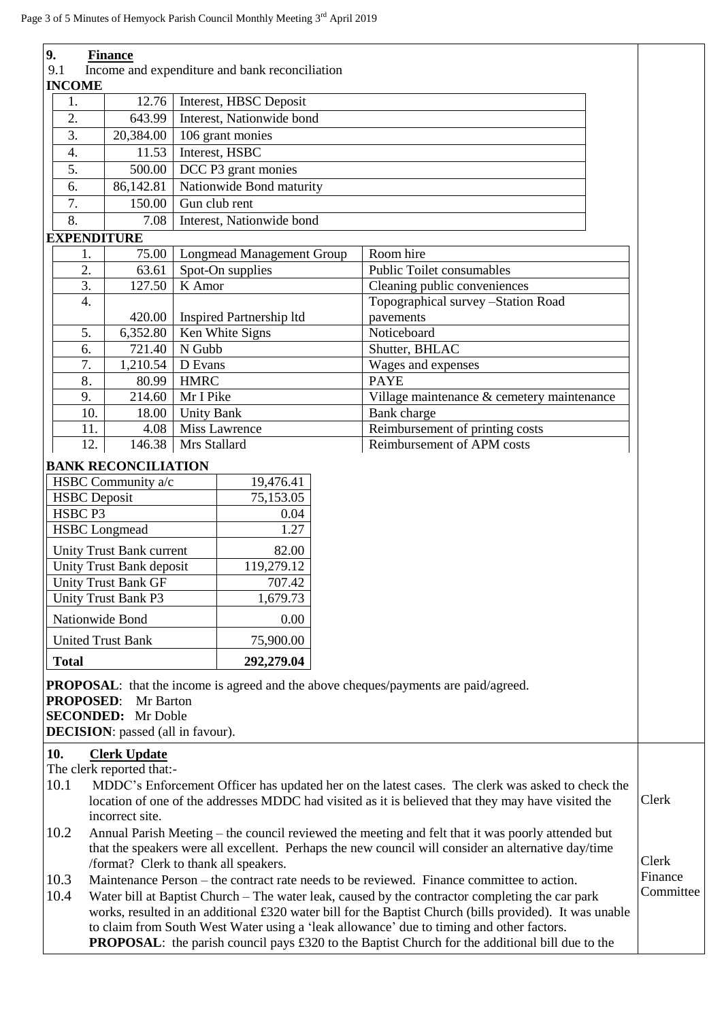| 9.                 | <b>Finance</b>                                                                                                                                                                                                            |                                                                                                 |                                                |       |                                                                                                     |           |
|--------------------|---------------------------------------------------------------------------------------------------------------------------------------------------------------------------------------------------------------------------|-------------------------------------------------------------------------------------------------|------------------------------------------------|-------|-----------------------------------------------------------------------------------------------------|-----------|
| 9.1                |                                                                                                                                                                                                                           |                                                                                                 | Income and expenditure and bank reconciliation |       |                                                                                                     |           |
| <b>INCOME</b>      |                                                                                                                                                                                                                           |                                                                                                 |                                                |       |                                                                                                     |           |
| 1.                 | 12.76                                                                                                                                                                                                                     |                                                                                                 | Interest, HBSC Deposit                         |       |                                                                                                     |           |
| 2.                 | 643.99                                                                                                                                                                                                                    |                                                                                                 | Interest, Nationwide bond                      |       |                                                                                                     |           |
| 3.                 | 20,384.00                                                                                                                                                                                                                 |                                                                                                 | 106 grant monies                               |       |                                                                                                     |           |
| 4.                 | 11.53                                                                                                                                                                                                                     |                                                                                                 | Interest, HSBC                                 |       |                                                                                                     |           |
| 5.                 | 500.00                                                                                                                                                                                                                    |                                                                                                 | DCC P3 grant monies                            |       |                                                                                                     |           |
| 6.                 | 86,142.81                                                                                                                                                                                                                 |                                                                                                 | Nationwide Bond maturity                       |       |                                                                                                     |           |
| $\overline{7}$ .   | 150.00                                                                                                                                                                                                                    |                                                                                                 | Gun club rent                                  |       |                                                                                                     |           |
| 8.                 | 7.08                                                                                                                                                                                                                      |                                                                                                 | Interest, Nationwide bond                      |       |                                                                                                     |           |
| 1.                 | <b>EXPENDITURE</b><br>75.00                                                                                                                                                                                               |                                                                                                 |                                                |       | Room hire                                                                                           |           |
| 2.                 | 63.61                                                                                                                                                                                                                     | <b>Longmead Management Group</b>                                                                |                                                |       | <b>Public Toilet consumables</b>                                                                    |           |
| 3.                 | 127.50                                                                                                                                                                                                                    |                                                                                                 | Spot-On supplies<br>K Amor                     |       | Cleaning public conveniences                                                                        |           |
| 4.                 |                                                                                                                                                                                                                           |                                                                                                 |                                                |       | Topographical survey -Station Road                                                                  |           |
|                    | 420.00                                                                                                                                                                                                                    |                                                                                                 | Inspired Partnership ltd                       |       | pavements                                                                                           |           |
| 5.                 | 6,352.80                                                                                                                                                                                                                  |                                                                                                 | Ken White Signs                                |       | Noticeboard                                                                                         |           |
| 6.                 | 721.40                                                                                                                                                                                                                    | N Gubb                                                                                          |                                                |       | Shutter, BHLAC                                                                                      |           |
| 7.                 | 1,210.54                                                                                                                                                                                                                  | D Evans                                                                                         |                                                |       | Wages and expenses                                                                                  |           |
| 8.                 | 80.99                                                                                                                                                                                                                     | <b>HMRC</b>                                                                                     |                                                |       | <b>PAYE</b>                                                                                         |           |
| 9.                 | 214.60                                                                                                                                                                                                                    | Mr I Pike                                                                                       |                                                |       | Village maintenance & cemetery maintenance                                                          |           |
| 10.                | 18.00                                                                                                                                                                                                                     | <b>Unity Bank</b>                                                                               |                                                |       | Bank charge                                                                                         |           |
| 11.                | 4.08                                                                                                                                                                                                                      |                                                                                                 | Miss Lawrence                                  |       | Reimbursement of printing costs                                                                     |           |
| 12.                | 146.38                                                                                                                                                                                                                    | Mrs Stallard                                                                                    |                                                |       | Reimbursement of APM costs                                                                          |           |
|                    | <b>BANK RECONCILIATION</b>                                                                                                                                                                                                |                                                                                                 |                                                |       |                                                                                                     |           |
|                    | HSBC Community a/c                                                                                                                                                                                                        |                                                                                                 | 19,476.41                                      |       |                                                                                                     |           |
|                    | <b>HSBC</b> Deposit                                                                                                                                                                                                       |                                                                                                 | 75,153.05                                      |       |                                                                                                     |           |
| HSBC <sub>P3</sub> |                                                                                                                                                                                                                           |                                                                                                 | 0.04                                           |       |                                                                                                     |           |
|                    | <b>HSBC</b> Longmead                                                                                                                                                                                                      |                                                                                                 | 1.27                                           |       |                                                                                                     |           |
|                    | Unity Trust Bank current                                                                                                                                                                                                  |                                                                                                 | 82.00                                          |       |                                                                                                     |           |
|                    | <b>Unity Trust Bank deposit</b>                                                                                                                                                                                           |                                                                                                 | 119,279.12                                     |       |                                                                                                     |           |
|                    | <b>Unity Trust Bank GF</b>                                                                                                                                                                                                |                                                                                                 | 707.42                                         |       |                                                                                                     |           |
|                    | <b>Unity Trust Bank P3</b>                                                                                                                                                                                                |                                                                                                 | 1,679.73                                       |       |                                                                                                     |           |
|                    | Nationwide Bond                                                                                                                                                                                                           |                                                                                                 | 0.00                                           |       |                                                                                                     |           |
|                    | <b>United Trust Bank</b>                                                                                                                                                                                                  |                                                                                                 | 75,900.00                                      |       |                                                                                                     |           |
| <b>Total</b>       |                                                                                                                                                                                                                           |                                                                                                 | 292,279.04                                     |       |                                                                                                     |           |
|                    |                                                                                                                                                                                                                           |                                                                                                 |                                                |       |                                                                                                     |           |
|                    |                                                                                                                                                                                                                           |                                                                                                 |                                                |       | <b>PROPOSAL:</b> that the income is agreed and the above cheques/payments are paid/agreed.          |           |
| <b>PROPOSED:</b>   | Mr Barton<br><b>SECONDED:</b> Mr Doble                                                                                                                                                                                    |                                                                                                 |                                                |       |                                                                                                     |           |
|                    | <b>DECISION</b> : passed (all in favour).                                                                                                                                                                                 |                                                                                                 |                                                |       |                                                                                                     |           |
|                    |                                                                                                                                                                                                                           |                                                                                                 |                                                |       |                                                                                                     |           |
| 10.                | <b>Clerk Update</b><br>The clerk reported that:-                                                                                                                                                                          |                                                                                                 |                                                |       |                                                                                                     |           |
| 10.1               |                                                                                                                                                                                                                           |                                                                                                 |                                                |       |                                                                                                     |           |
|                    | MDDC's Enforcement Officer has updated her on the latest cases. The clerk was asked to check the<br>location of one of the addresses MDDC had visited as it is believed that they may have visited the<br>incorrect site. |                                                                                                 |                                                |       | Clerk                                                                                               |           |
| 10.2               |                                                                                                                                                                                                                           |                                                                                                 |                                                |       | Annual Parish Meeting – the council reviewed the meeting and felt that it was poorly attended but   |           |
|                    |                                                                                                                                                                                                                           |                                                                                                 |                                                |       | that the speakers were all excellent. Perhaps the new council will consider an alternative day/time |           |
|                    | /format? Clerk to thank all speakers.                                                                                                                                                                                     |                                                                                                 |                                                | Clerk |                                                                                                     |           |
| 10.3               |                                                                                                                                                                                                                           |                                                                                                 |                                                |       | Maintenance Person – the contract rate needs to be reviewed. Finance committee to action.           | Finance   |
| 10.4               |                                                                                                                                                                                                                           | Water bill at Baptist Church – The water leak, caused by the contractor completing the car park |                                                |       |                                                                                                     | Committee |
|                    | works, resulted in an additional £320 water bill for the Baptist Church (bills provided). It was unable                                                                                                                   |                                                                                                 |                                                |       |                                                                                                     |           |
|                    | to claim from South West Water using a 'leak allowance' due to timing and other factors.<br><b>PROPOSAL:</b> the parish council pays £320 to the Baptist Church for the additional bill due to the                        |                                                                                                 |                                                |       |                                                                                                     |           |
|                    |                                                                                                                                                                                                                           |                                                                                                 |                                                |       |                                                                                                     |           |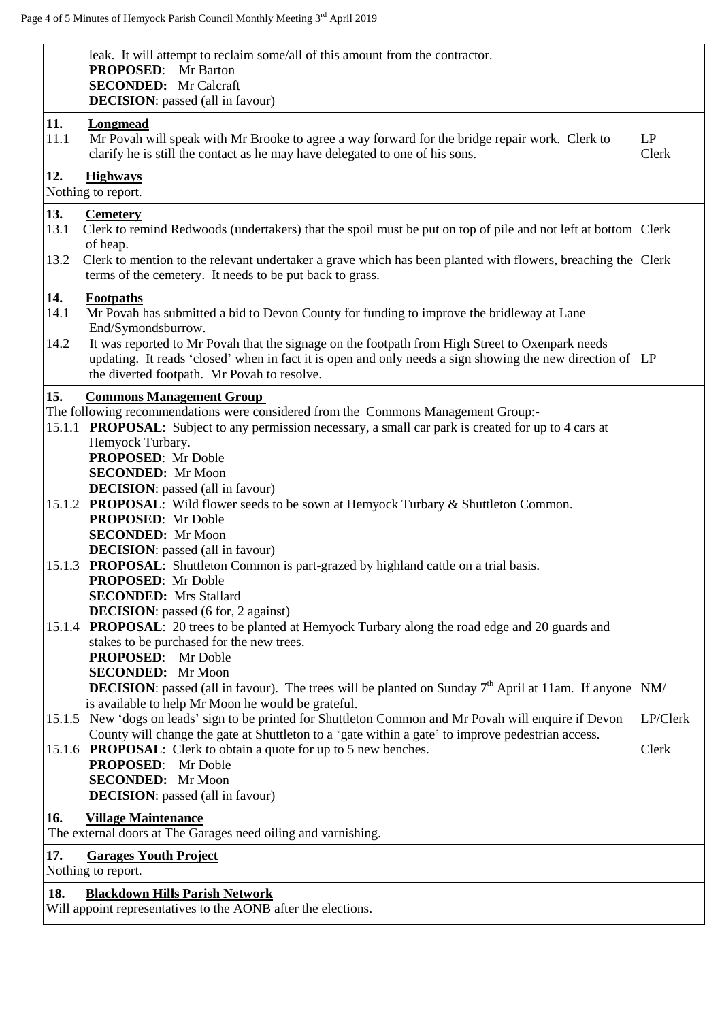|             | leak. It will attempt to reclaim some/all of this amount from the contractor.<br><b>PROPOSED:</b> Mr Barton<br><b>SECONDED:</b> Mr Calcraft<br><b>DECISION</b> : passed (all in favour)                                                                                                                             |             |
|-------------|---------------------------------------------------------------------------------------------------------------------------------------------------------------------------------------------------------------------------------------------------------------------------------------------------------------------|-------------|
| 11.<br>11.1 | <b>Longmead</b><br>Mr Povah will speak with Mr Brooke to agree a way forward for the bridge repair work. Clerk to<br>clarify he is still the contact as he may have delegated to one of his sons.                                                                                                                   | LP<br>Clerk |
| 12.         | <b>Highways</b><br>Nothing to report.                                                                                                                                                                                                                                                                               |             |
| 13.<br>13.1 | <b>Cemetery</b><br>Clerk to remind Redwoods (undertakers) that the spoil must be put on top of pile and not left at bottom $ $ Clerk                                                                                                                                                                                |             |
| 13.2        | of heap.<br>Clerk to mention to the relevant undertaker a grave which has been planted with flowers, breaching the<br>terms of the cemetery. It needs to be put back to grass.                                                                                                                                      | Clerk       |
| 14.<br>14.1 | <b>Footpaths</b><br>Mr Povah has submitted a bid to Devon County for funding to improve the bridleway at Lane<br>End/Symondsburrow.                                                                                                                                                                                 |             |
| 14.2        | It was reported to Mr Povah that the signage on the footpath from High Street to Oxenpark needs<br>updating. It reads 'closed' when in fact it is open and only needs a sign showing the new direction of<br>the diverted footpath. Mr Povah to resolve.                                                            | LP          |
| 15.         | <b>Commons Management Group</b>                                                                                                                                                                                                                                                                                     |             |
|             | The following recommendations were considered from the Commons Management Group:-<br>15.1.1 PROPOSAL: Subject to any permission necessary, a small car park is created for up to 4 cars at<br>Hemyock Turbary.<br><b>PROPOSED:</b> Mr Doble<br><b>SECONDED:</b> Mr Moon<br><b>DECISION</b> : passed (all in favour) |             |
|             | 15.1.2 PROPOSAL: Wild flower seeds to be sown at Hemyock Turbary & Shuttleton Common.<br><b>PROPOSED:</b> Mr Doble<br><b>SECONDED:</b> Mr Moon                                                                                                                                                                      |             |
| 15.1.3      | <b>DECISION</b> : passed (all in favour)<br><b>PROPOSAL:</b> Shuttleton Common is part-grazed by highland cattle on a trial basis.<br>PROPOSED: Mr Doble<br><b>SECONDED:</b> Mrs Stallard<br><b>DECISION</b> : passed (6 for, 2 against)                                                                            |             |
|             | 15.1.4 <b>PROPOSAL</b> : 20 trees to be planted at Hemyock Turbary along the road edge and 20 guards and<br>stakes to be purchased for the new trees.<br><b>PROPOSED:</b> Mr Doble<br><b>SECONDED:</b> Mr Moon                                                                                                      |             |
|             | <b>DECISION:</b> passed (all in favour). The trees will be planted on Sunday $7th$ April at 11am. If anyone<br>is available to help Mr Moon he would be grateful.                                                                                                                                                   | NM/         |
|             | 15.1.5 New 'dogs on leads' sign to be printed for Shuttleton Common and Mr Povah will enquire if Devon                                                                                                                                                                                                              | LP/Clerk    |
|             | County will change the gate at Shuttleton to a 'gate within a gate' to improve pedestrian access.<br>15.1.6 PROPOSAL: Clerk to obtain a quote for up to 5 new benches.<br><b>PROPOSED:</b> Mr Doble                                                                                                                 | Clerk       |
|             | <b>SECONDED:</b> Mr Moon<br><b>DECISION</b> : passed (all in favour)                                                                                                                                                                                                                                                |             |
| 16.         | <b>Village Maintenance</b><br>The external doors at The Garages need oiling and varnishing.                                                                                                                                                                                                                         |             |
| 17.         | <b>Garages Youth Project</b>                                                                                                                                                                                                                                                                                        |             |
|             | Nothing to report.                                                                                                                                                                                                                                                                                                  |             |
| 18.         | <b>Blackdown Hills Parish Network</b><br>Will appoint representatives to the AONB after the elections.                                                                                                                                                                                                              |             |
|             |                                                                                                                                                                                                                                                                                                                     |             |